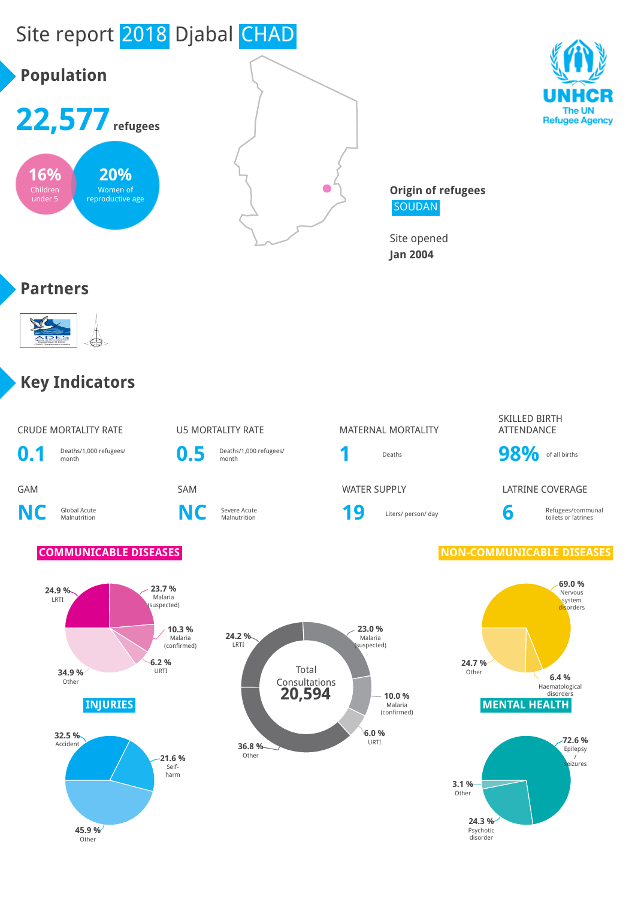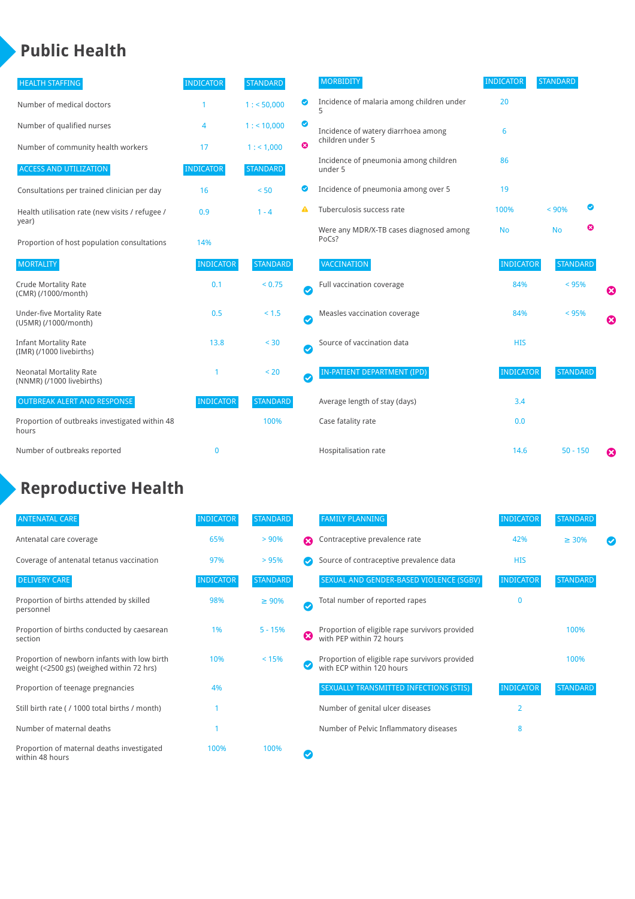### **Public Health**

| <b>HEALTH STAFFING</b>                                      | <b>INDICATOR</b> | <b>STANDARD</b> |           | <b>MORBIDITY</b>                                 | <b>INDICATOR</b> | <b>STANDARD</b> |   |                       |
|-------------------------------------------------------------|------------------|-----------------|-----------|--------------------------------------------------|------------------|-----------------|---|-----------------------|
| Number of medical doctors                                   |                  | 1: 50,000       | ◎         | Incidence of malaria among children under        | 20               |                 |   |                       |
| Number of qualified nurses                                  | 4                | $1:$ < 10,000   | ◙         | Incidence of watery diarrhoea among              | 6                |                 |   |                       |
| Number of community health workers                          | 17               | 1: 1,000        | ೞ         | children under 5                                 |                  |                 |   |                       |
| <b>ACCESS AND UTILIZATION</b>                               | <b>INDICATOR</b> | <b>STANDARD</b> |           | Incidence of pneumonia among children<br>under 5 | 86               |                 |   |                       |
| Consultations per trained clinician per day                 | 16               | < 50            | ◎         | Incidence of pneumonia among over 5              | 19               |                 |   |                       |
| Health utilisation rate (new visits / refugee /             | 0.9              | $1 - 4$         | Α         | Tuberculosis success rate                        | 100%             | < 90%           |   |                       |
| year)<br>Proportion of host population consultations        | 14%              |                 |           | Were any MDR/X-TB cases diagnosed among<br>PoCs? | <b>No</b>        | <b>No</b>       | ఴ |                       |
| <b>MORTALITY</b>                                            | <b>INDICATOR</b> | <b>STANDARD</b> |           | <b>VACCINATION</b>                               | <b>INDICATOR</b> | <b>STANDARD</b> |   |                       |
| <b>Crude Mortality Rate</b><br>(CMR) (/1000/month)          | 0.1              | < 0.75          | Ø         | Full vaccination coverage                        | 84%              | < 95%           |   | ☺                     |
| <b>Under-five Mortality Rate</b><br>(U5MR) (/1000/month)    | 0.5              | $< 1.5$         | $\bullet$ | Measles vaccination coverage                     | 84%              | $< 95\%$        |   | $\boldsymbol{\Omega}$ |
| <b>Infant Mortality Rate</b><br>(IMR) (/1000 livebirths)    | 13.8             | < 30            | $\bullet$ | Source of vaccination data                       | <b>HIS</b>       |                 |   |                       |
| <b>Neonatal Mortality Rate</b><br>(NNMR) (/1000 livebirths) |                  | < 20            | Ø         | <b>IN-PATIENT DEPARTMENT (IPD)</b>               | <b>INDICATOR</b> | <b>STANDARD</b> |   |                       |
| <b>OUTBREAK ALERT AND RESPONSE</b>                          | <b>INDICATOR</b> | <b>STANDARD</b> |           | Average length of stay (days)                    | 3.4              |                 |   |                       |
| Proportion of outbreaks investigated within 48<br>hours     |                  | 100%            |           | Case fatality rate                               | 0.0              |                 |   |                       |
| Number of outbreaks reported                                | $\mathbf 0$      |                 |           | Hospitalisation rate                             | 14.6             | $50 - 150$      |   | €                     |

## **Reproductive Health**

| <b>ANTENATAL CARE</b>                                                                     | <b>INDICATOR</b> | <b>STANDARD</b> |                       | <b>FAMILY PLANNING</b>                                                      | <b>INDICATOR</b> | <b>STANDARD</b> |  |
|-------------------------------------------------------------------------------------------|------------------|-----------------|-----------------------|-----------------------------------------------------------------------------|------------------|-----------------|--|
| Antenatal care coverage                                                                   | 65%              | > 90%           | Ω                     | Contraceptive prevalence rate                                               | 42%              | $\geq 30\%$     |  |
| Coverage of antenatal tetanus vaccination                                                 | 97%              | > 95%           |                       | Source of contraceptive prevalence data                                     | <b>HIS</b>       |                 |  |
| <b>DELIVERY CARE</b>                                                                      | <b>INDICATOR</b> | <b>STANDARD</b> |                       | SEXUAL AND GENDER-BASED VIOLENCE (SGBV)                                     | <b>INDICATOR</b> | <b>STANDARD</b> |  |
| Proportion of births attended by skilled<br>personnel                                     | 98%              | $\geq 90\%$     | $\boldsymbol{\sigma}$ | Total number of reported rapes                                              | $\mathbf{0}$     |                 |  |
| Proportion of births conducted by caesarean<br>section                                    | 1%               | $5 - 15%$       | ☺                     | Proportion of eligible rape survivors provided<br>with PEP within 72 hours  |                  | 100%            |  |
| Proportion of newborn infants with low birth<br>weight (<2500 gs) (weighed within 72 hrs) | 10%              | < 15%           |                       | Proportion of eligible rape survivors provided<br>with ECP within 120 hours |                  | 100%            |  |
| Proportion of teenage pregnancies                                                         | 4%               |                 |                       | SEXUALLY TRANSMITTED INFECTIONS (STIS)                                      | <b>INDICATOR</b> | <b>STANDARD</b> |  |
| Still birth rate (/1000 total births / month)                                             |                  |                 |                       | Number of genital ulcer diseases                                            | $\overline{2}$   |                 |  |
| Number of maternal deaths                                                                 |                  |                 |                       | Number of Pelvic Inflammatory diseases                                      | 8                |                 |  |
| Proportion of maternal deaths investigated<br>within 48 hours                             | 100%             | 100%            |                       |                                                                             |                  |                 |  |